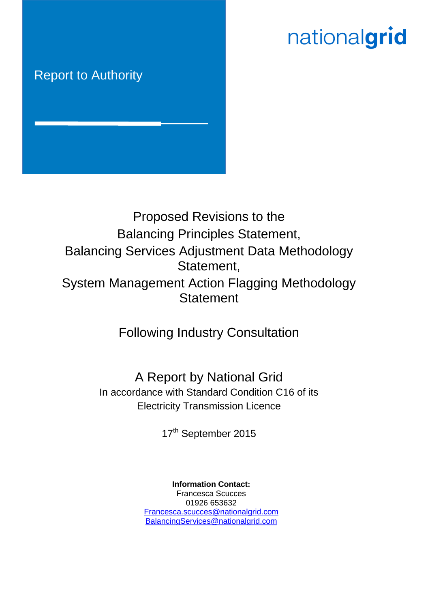# nationalgrid

# Report to Authority



# Proposed Revisions to the Balancing Principles Statement, Balancing Services Adjustment Data Methodology Statement, System Management Action Flagging Methodology **Statement**

Following Industry Consultation

A Report by National Grid In accordance with Standard Condition C16 of its Electricity Transmission Licence

17<sup>th</sup> September 2015

**Information Contact:** Francesca Scucces 01926 653632 [Francesca.scucces@nationalgrid.com](mailto:Francesca.scucces@nationalgrid.com) [BalancingServices@nationalgrid.com](mailto:BalancingServices@nationalgrid.com)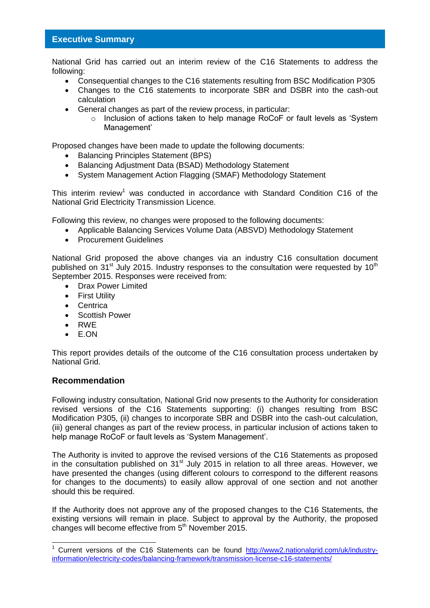# **Executive Summary**

National Grid has carried out an interim review of the C16 Statements to address the following:

- Consequential changes to the C16 statements resulting from BSC Modification P305
- Changes to the C16 statements to incorporate SBR and DSBR into the cash-out calculation
- General changes as part of the review process, in particular:
	- $\circ$  Inclusion of actions taken to help manage RoCoF or fault levels as 'System Management'

Proposed changes have been made to update the following documents:

- Balancing Principles Statement (BPS)
- Balancing Adjustment Data (BSAD) Methodology Statement
- System Management Action Flagging (SMAF) Methodology Statement

This interim review<sup>1</sup> was conducted in accordance with Standard Condition C16 of the National Grid Electricity Transmission Licence.

Following this review, no changes were proposed to the following documents:

- Applicable Balancing Services Volume Data (ABSVD) Methodology Statement
- Procurement Guidelines

National Grid proposed the above changes via an industry C16 consultation document published on  $31^{st}$  July 2015. Industry responses to the consultation were requested by  $10^{th}$ September 2015. Responses were received from:

- Drax Power Limited
- **•** First Utility
- Centrica
- Scottish Power
- RWE
- E.ON

This report provides details of the outcome of the C16 consultation process undertaken by National Grid.

# **Recommendation**

 $\overline{1}$ 

Following industry consultation, National Grid now presents to the Authority for consideration revised versions of the C16 Statements supporting: (i) changes resulting from BSC Modification P305, (ii) changes to incorporate SBR and DSBR into the cash-out calculation, (iii) general changes as part of the review process, in particular inclusion of actions taken to help manage RoCoF or fault levels as 'System Management'.

The Authority is invited to approve the revised versions of the C16 Statements as proposed in the consultation published on  $31<sup>st</sup>$  July 2015 in relation to all three areas. However, we have presented the changes (using different colours to correspond to the different reasons for changes to the documents) to easily allow approval of one section and not another should this be required.

If the Authority does not approve any of the proposed changes to the C16 Statements, the existing versions will remain in place. Subject to approval by the Authority, the proposed changes will become effective from  $5<sup>th</sup>$  November 2015.

<sup>1</sup> Current versions of the C16 Statements can be found [http://www2.nationalgrid.com/uk/industry](http://www2.nationalgrid.com/uk/industry-information/electricity-codes/balancing-framework/transmission-license-c16-statements/)[information/electricity-codes/balancing-framework/transmission-license-c16-statements/](http://www2.nationalgrid.com/uk/industry-information/electricity-codes/balancing-framework/transmission-license-c16-statements/)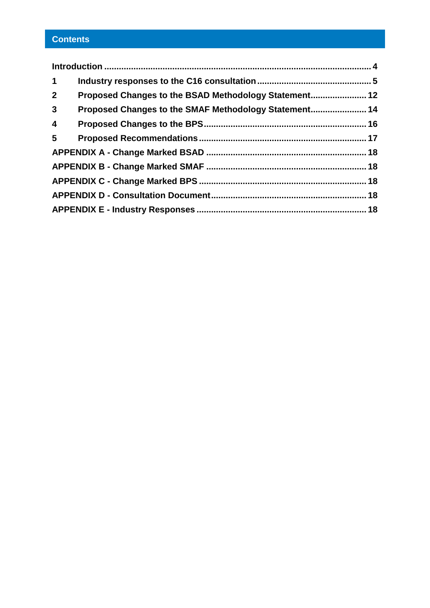# **Contents**

| $\mathbf 1$     |                                                       |  |  |  |  |
|-----------------|-------------------------------------------------------|--|--|--|--|
| 2 <sup>1</sup>  | Proposed Changes to the BSAD Methodology Statement 12 |  |  |  |  |
| 3 <sup>1</sup>  | Proposed Changes to the SMAF Methodology Statement 14 |  |  |  |  |
| $\overline{4}$  |                                                       |  |  |  |  |
| $5\overline{)}$ |                                                       |  |  |  |  |
|                 |                                                       |  |  |  |  |
|                 |                                                       |  |  |  |  |
|                 |                                                       |  |  |  |  |
|                 |                                                       |  |  |  |  |
|                 |                                                       |  |  |  |  |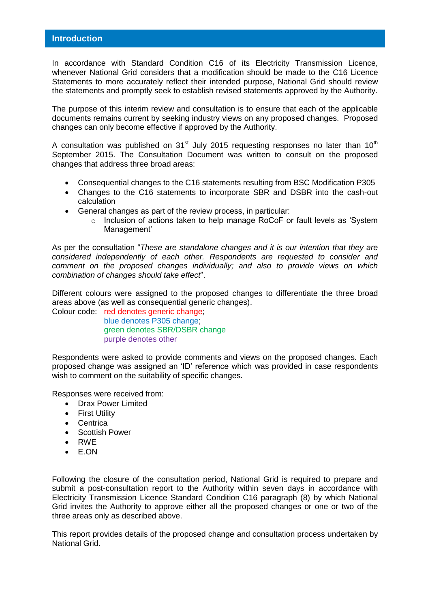<span id="page-3-0"></span>In accordance with Standard Condition C16 of its Electricity Transmission Licence, whenever National Grid considers that a modification should be made to the C16 Licence Statements to more accurately reflect their intended purpose, National Grid should review the statements and promptly seek to establish revised statements approved by the Authority.

The purpose of this interim review and consultation is to ensure that each of the applicable documents remains current by seeking industry views on any proposed changes. Proposed changes can only become effective if approved by the Authority.

A consultation was published on  $31<sup>st</sup>$  July 2015 requesting responses no later than  $10<sup>th</sup>$ September 2015. The Consultation Document was written to consult on the proposed changes that address three broad areas:

- Consequential changes to the C16 statements resulting from BSC Modification P305
- Changes to the C16 statements to incorporate SBR and DSBR into the cash-out calculation
- General changes as part of the review process, in particular:
	- o Inclusion of actions taken to help manage RoCoF or fault levels as 'System Management'

As per the consultation "*These are standalone changes and it is our intention that they are considered independently of each other. Respondents are requested to consider and comment on the proposed changes individually; and also to provide views on which combination of changes should take effect*".

Different colours were assigned to the proposed changes to differentiate the three broad areas above (as well as consequential generic changes).

Colour code: red denotes generic change; blue denotes P305 change; green denotes SBR/DSBR change purple denotes other

Respondents were asked to provide comments and views on the proposed changes. Each proposed change was assigned an 'ID' reference which was provided in case respondents wish to comment on the suitability of specific changes.

Responses were received from:

- Drax Power Limited
- **•** First Utility
- Centrica
- Scottish Power
- RWE
- E.ON

Following the closure of the consultation period, National Grid is required to prepare and submit a post-consultation report to the Authority within seven days in accordance with Electricity Transmission Licence Standard Condition C16 paragraph (8) by which National Grid invites the Authority to approve either all the proposed changes or one or two of the three areas only as described above.

This report provides details of the proposed change and consultation process undertaken by National Grid.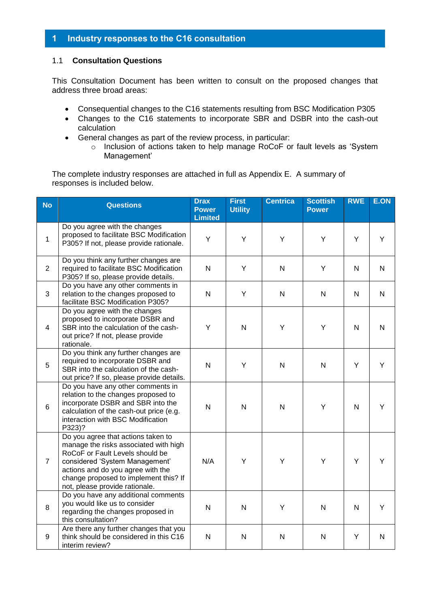# <span id="page-4-0"></span>**1 Industry responses to the C16 consultation**

## 1.1 **Consultation Questions**

This Consultation Document has been written to consult on the proposed changes that address three broad areas:

- Consequential changes to the C16 statements resulting from BSC Modification P305
- Changes to the C16 statements to incorporate SBR and DSBR into the cash-out calculation
- General changes as part of the review process, in particular:
	- o Inclusion of actions taken to help manage RoCoF or fault levels as 'System Management'

The complete industry responses are attached in full as Appendix E. A summary of responses is included below.

| <b>No</b>      | <b>Questions</b>                                                                                                                                                                                                                                                 | <b>Drax</b><br><b>Power</b><br><b>Limited</b> | <b>First</b><br><b>Utility</b> | <b>Centrica</b> | <b>Scottish</b><br><b>Power</b> | <b>RWE</b>   | E.ON           |
|----------------|------------------------------------------------------------------------------------------------------------------------------------------------------------------------------------------------------------------------------------------------------------------|-----------------------------------------------|--------------------------------|-----------------|---------------------------------|--------------|----------------|
| $\mathbf{1}$   | Do you agree with the changes<br>proposed to facilitate BSC Modification<br>P305? If not, please provide rationale.                                                                                                                                              | Y                                             | Y                              | Y               | Υ                               | Y            | Y              |
| 2              | Do you think any further changes are<br>required to facilitate BSC Modification<br>P305? If so, please provide details.                                                                                                                                          | N                                             | Y                              | N               | Y                               | N            | N              |
| 3              | Do you have any other comments in<br>relation to the changes proposed to<br>facilitate BSC Modification P305?                                                                                                                                                    | N                                             | Y                              | N               | N                               | N            | N              |
| $\overline{4}$ | Do you agree with the changes<br>proposed to incorporate DSBR and<br>SBR into the calculation of the cash-<br>out price? If not, please provide<br>rationale.                                                                                                    | Y                                             | N.                             | Y               | Υ                               | N            | $\overline{N}$ |
| 5              | Do you think any further changes are<br>required to incorporate DSBR and<br>SBR into the calculation of the cash-<br>out price? If so, please provide details.                                                                                                   | $\mathsf{N}$                                  | Y                              | N               | $\mathsf{N}$                    | Y            | Y              |
| 6              | Do you have any other comments in<br>relation to the changes proposed to<br>incorporate DSBR and SBR into the<br>calculation of the cash-out price (e.g.<br>interaction with BSC Modification<br>P323)?                                                          | $\mathsf{N}$                                  | N                              | N               | Υ                               | $\mathsf{N}$ | Y              |
| $\overline{7}$ | Do you agree that actions taken to<br>manage the risks associated with high<br>RoCoF or Fault Levels should be<br>considered 'System Management'<br>actions and do you agree with the<br>change proposed to implement this? If<br>not, please provide rationale. | N/A                                           | Y                              | Υ               | Y                               | Y            | Y              |
| 8              | Do you have any additional comments<br>you would like us to consider<br>regarding the changes proposed in<br>this consultation?                                                                                                                                  | $\mathsf{N}$                                  | N                              | Y               | $\mathsf{N}$                    | $\mathsf{N}$ | Y              |
| 9              | Are there any further changes that you<br>think should be considered in this C16<br>interim review?                                                                                                                                                              | ${\sf N}$                                     | N                              | N               | ${\sf N}$                       | Υ            | ${\sf N}$      |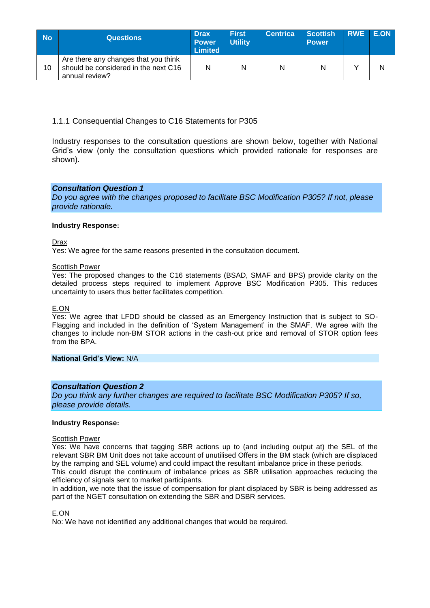| <b>No</b> | <b>Questions</b>                                                                               | <b>Drax</b><br><b>Power</b><br><b>Limited</b> | <b>First</b><br><b>Utility</b> | <b>Centrica</b> | <b>Scottish</b><br><b>Power</b> | RWE E.ON |  |
|-----------|------------------------------------------------------------------------------------------------|-----------------------------------------------|--------------------------------|-----------------|---------------------------------|----------|--|
| 10        | Are there any changes that you think<br>should be considered in the next C16<br>annual review? | Ν                                             | N                              | N               | N                               |          |  |

## 1.1.1 Consequential Changes to C16 Statements for P305

Industry responses to the consultation questions are shown below, together with National Grid's view (only the consultation questions which provided rationale for responses are shown).

#### *Consultation Question 1*

*Do you agree with the changes proposed to facilitate BSC Modification P305? If not, please provide rationale.*

#### **Industry Response:**

Drax

Yes: We agree for the same reasons presented in the consultation document.

#### Scottish Power

Yes: The proposed changes to the C16 statements (BSAD, SMAF and BPS) provide clarity on the detailed process steps required to implement Approve BSC Modification P305. This reduces uncertainty to users thus better facilitates competition.

#### E.ON

Yes: We agree that LFDD should be classed as an Emergency Instruction that is subject to SO-Flagging and included in the definition of 'System Management' in the SMAF. We agree with the changes to include non-BM STOR actions in the cash-out price and removal of STOR option fees from the BPA.

#### **National Grid's View:** N/A

#### *Consultation Question 2*

*Do you think any further changes are required to facilitate BSC Modification P305? If so, please provide details.*

#### **Industry Response:**

#### Scottish Power

Yes: We have concerns that tagging SBR actions up to (and including output at) the SEL of the relevant SBR BM Unit does not take account of unutilised Offers in the BM stack (which are displaced by the ramping and SEL volume) and could impact the resultant imbalance price in these periods.

This could disrupt the continuum of imbalance prices as SBR utilisation approaches reducing the efficiency of signals sent to market participants.

In addition, we note that the issue of compensation for plant displaced by SBR is being addressed as part of the NGET consultation on extending the SBR and DSBR services.

E.ON

No: We have not identified any additional changes that would be required.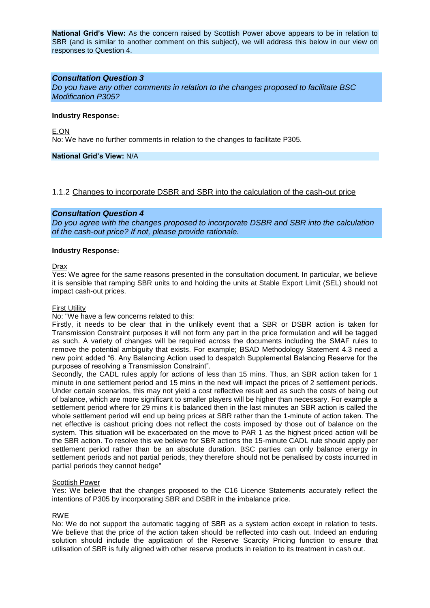**National Grid's View:** As the concern raised by Scottish Power above appears to be in relation to SBR (and is similar to another comment on this subject), we will address this below in our view on responses to Question 4.

#### *Consultation Question 3*

*Do you have any other comments in relation to the changes proposed to facilitate BSC Modification P305?*

#### **Industry Response:**

E.ON No: We have no further comments in relation to the changes to facilitate P305.

#### **National Grid's View:** N/A

#### 1.1.2 Changes to incorporate DSBR and SBR into the calculation of the cash-out price

#### *Consultation Question 4*

*Do you agree with the changes proposed to incorporate DSBR and SBR into the calculation of the cash-out price? If not, please provide rationale.*

#### **Industry Response:**

#### Drax

Yes: We agree for the same reasons presented in the consultation document. In particular, we believe it is sensible that ramping SBR units to and holding the units at Stable Export Limit (SEL) should not impact cash-out prices.

#### First Utility

#### No: "We have a few concerns related to this:

Firstly, it needs to be clear that in the unlikely event that a SBR or DSBR action is taken for Transmission Constraint purposes it will not form any part in the price formulation and will be tagged as such. A variety of changes will be required across the documents including the SMAF rules to remove the potential ambiguity that exists. For example; BSAD Methodology Statement 4.3 need a new point added "6. Any Balancing Action used to despatch Supplemental Balancing Reserve for the purposes of resolving a Transmission Constraint".

Secondly, the CADL rules apply for actions of less than 15 mins. Thus, an SBR action taken for 1 minute in one settlement period and 15 mins in the next will impact the prices of 2 settlement periods. Under certain scenarios, this may not yield a cost reflective result and as such the costs of being out of balance, which are more significant to smaller players will be higher than necessary. For example a settlement period where for 29 mins it is balanced then in the last minutes an SBR action is called the whole settlement period will end up being prices at SBR rather than the 1-minute of action taken. The net effective is cashout pricing does not reflect the costs imposed by those out of balance on the system. This situation will be exacerbated on the move to PAR 1 as the highest priced action will be the SBR action. To resolve this we believe for SBR actions the 15-minute CADL rule should apply per settlement period rather than be an absolute duration. BSC parties can only balance energy in settlement periods and not partial periods, they therefore should not be penalised by costs incurred in partial periods they cannot hedge"

#### Scottish Power

Yes: We believe that the changes proposed to the C16 Licence Statements accurately reflect the intentions of P305 by incorporating SBR and DSBR in the imbalance price.

#### RWE

No: We do not support the automatic tagging of SBR as a system action except in relation to tests. We believe that the price of the action taken should be reflected into cash out. Indeed an enduring solution should include the application of the Reserve Scarcity Pricing function to ensure that utilisation of SBR is fully aligned with other reserve products in relation to its treatment in cash out.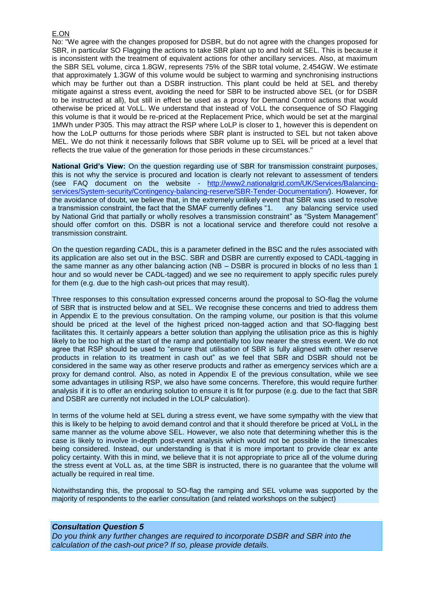#### E.ON

No: "We agree with the changes proposed for DSBR, but do not agree with the changes proposed for SBR, in particular SO Flagging the actions to take SBR plant up to and hold at SEL. This is because it is inconsistent with the treatment of equivalent actions for other ancillary services. Also, at maximum the SBR SEL volume, circa 1.8GW, represents 75% of the SBR total volume, 2.454GW. We estimate that approximately 1.3GW of this volume would be subject to warming and synchronising instructions which may be further out than a DSBR instruction. This plant could be held at SEL and thereby mitigate against a stress event, avoiding the need for SBR to be instructed above SEL (or for DSBR to be instructed at all), but still in effect be used as a proxy for Demand Control actions that would otherwise be priced at VoLL. We understand that instead of VoLL the consequence of SO Flagging this volume is that it would be re-priced at the Replacement Price, which would be set at the marginal 1MWh under P305. This may attract the RSP where LoLP is closer to 1, however this is dependent on how the LoLP outturns for those periods where SBR plant is instructed to SEL but not taken above MEL. We do not think it necessarily follows that SBR volume up to SEL will be priced at a level that reflects the true value of the generation for those periods in these circumstances."

**National Grid's View:** On the question regarding use of SBR for transmission constraint purposes, this is not why the service is procured and location is clearly not relevant to assessment of tenders (see FAQ document on the website - [http://www2.nationalgrid.com/UK/Services/Balancing](http://www2.nationalgrid.com/UK/Services/Balancing-services/System-security/Contingency-balancing-reserve/SBR-Tender-Documentation/)[services/System-security/Contingency-balancing-reserve/SBR-Tender-Documentation/\)](http://www2.nationalgrid.com/UK/Services/Balancing-services/System-security/Contingency-balancing-reserve/SBR-Tender-Documentation/). However, for the avoidance of doubt, we believe that, in the extremely unlikely event that SBR was used to resolve a transmission constraint, the fact that the SMAF currently defines "1. any balancing service used by National Grid that partially or wholly resolves a transmission constraint" as "System Management" should offer comfort on this. DSBR is not a locational service and therefore could not resolve a transmission constraint.

On the question regarding CADL, this is a parameter defined in the BSC and the rules associated with its application are also set out in the BSC. SBR and DSBR are currently exposed to CADL-tagging in the same manner as any other balancing action (NB – DSBR is procured in blocks of no less than 1 hour and so would never be CADL-tagged) and we see no requirement to apply specific rules purely for them (e.g. due to the high cash-out prices that may result).

Three responses to this consultation expressed concerns around the proposal to SO-flag the volume of SBR that is instructed below and at SEL. We recognise these concerns and tried to address them in Appendix E to the previous consultation. On the ramping volume, our position is that this volume should be priced at the level of the highest priced non-tagged action and that SO-flagging best facilitates this. It certainly appears a better solution than applying the utilisation price as this is highly likely to be too high at the start of the ramp and potentially too low nearer the stress event. We do not agree that RSP should be used to "ensure that utilisation of SBR is fully aligned with other reserve products in relation to its treatment in cash out" as we feel that SBR and DSBR should not be considered in the same way as other reserve products and rather as emergency services which are a proxy for demand control. Also, as noted in Appendix E of the previous consultation, while we see some advantages in utilising RSP, we also have some concerns. Therefore, this would require further analysis if it is to offer an enduring solution to ensure it is fit for purpose (e.g. due to the fact that SBR and DSBR are currently not included in the LOLP calculation).

In terms of the volume held at SEL during a stress event, we have some sympathy with the view that this is likely to be helping to avoid demand control and that it should therefore be priced at VoLL in the same manner as the volume above SEL. However, we also note that determining whether this is the case is likely to involve in-depth post-event analysis which would not be possible in the timescales being considered. Instead, our understanding is that it is more important to provide clear ex ante policy certainty. With this in mind, we believe that it is not appropriate to price all of the volume during the stress event at VoLL as, at the time SBR is instructed, there is no guarantee that the volume will actually be required in real time.

Notwithstanding this, the proposal to SO-flag the ramping and SEL volume was supported by the majority of respondents to the earlier consultation (and related workshops on the subject)

#### *Consultation Question 5*

*Do you think any further changes are required to incorporate DSBR and SBR into the calculation of the cash-out price? If so, please provide details.*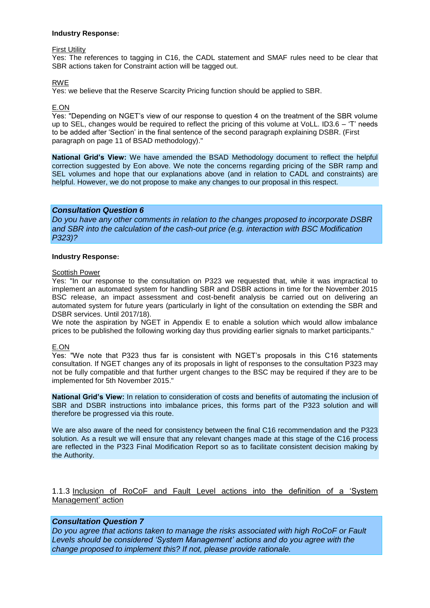#### **Industry Response:**

#### First Utility

Yes: The references to tagging in C16, the CADL statement and SMAF rules need to be clear that SBR actions taken for Constraint action will be tagged out.

#### RWE

Yes: we believe that the Reserve Scarcity Pricing function should be applied to SBR.

#### E.ON

Yes: "Depending on NGET's view of our response to question 4 on the treatment of the SBR volume up to SEL, changes would be required to reflect the pricing of this volume at VoLL. ID3.6 – 'T' needs to be added after 'Section' in the final sentence of the second paragraph explaining DSBR. (First paragraph on page 11 of BSAD methodology)."

**National Grid's View:** We have amended the BSAD Methodology document to reflect the helpful correction suggested by Eon above. We note the concerns regarding pricing of the SBR ramp and SEL volumes and hope that our explanations above (and in relation to CADL and constraints) are helpful. However, we do not propose to make any changes to our proposal in this respect.

#### *Consultation Question 6*

*Do you have any other comments in relation to the changes proposed to incorporate DSBR and SBR into the calculation of the cash-out price (e.g. interaction with BSC Modification P323)?*

#### **Industry Response:**

#### Scottish Power

Yes: "In our response to the consultation on P323 we requested that, while it was impractical to implement an automated system for handling SBR and DSBR actions in time for the November 2015 BSC release, an impact assessment and cost-benefit analysis be carried out on delivering an automated system for future years (particularly in light of the consultation on extending the SBR and DSBR services. Until 2017/18).

We note the aspiration by NGET in Appendix E to enable a solution which would allow imbalance prices to be published the following working day thus providing earlier signals to market participants."

#### E.ON

Yes: "We note that P323 thus far is consistent with NGET's proposals in this C16 statements consultation. If NGET changes any of its proposals in light of responses to the consultation P323 may not be fully compatible and that further urgent changes to the BSC may be required if they are to be implemented for 5th November 2015."

**National Grid's View:** In relation to consideration of costs and benefits of automating the inclusion of SBR and DSBR instructions into imbalance prices, this forms part of the P323 solution and will therefore be progressed via this route.

We are also aware of the need for consistency between the final C16 recommendation and the P323 solution. As a result we will ensure that any relevant changes made at this stage of the C16 process are reflected in the P323 Final Modification Report so as to facilitate consistent decision making by the Authority.

# 1.1.3 Inclusion of RoCoF and Fault Level actions into the definition of a 'System Management' action

#### *Consultation Question 7*

*Do you agree that actions taken to manage the risks associated with high RoCoF or Fault Levels should be considered 'System Management' actions and do you agree with the change proposed to implement this? If not, please provide rationale.*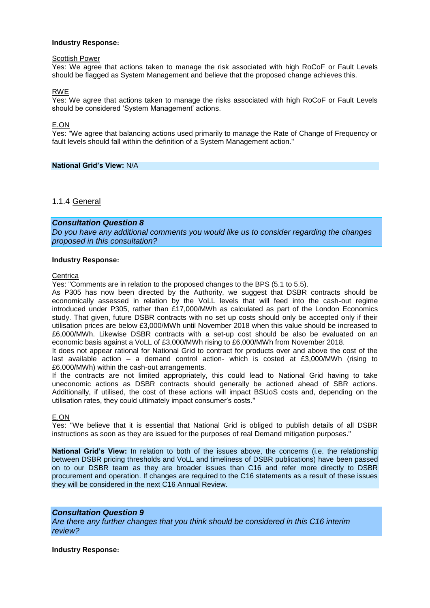#### **Industry Response:**

#### Scottish Power

Yes: We agree that actions taken to manage the risk associated with high RoCoF or Fault Levels should be flagged as System Management and believe that the proposed change achieves this.

RWE

Yes: We agree that actions taken to manage the risks associated with high RoCoF or Fault Levels should be considered 'System Management' actions.

E.ON

Yes: "We agree that balancing actions used primarily to manage the Rate of Change of Frequency or fault levels should fall within the definition of a System Management action."

**National Grid's View:** N/A

#### 1.1.4 General

#### *Consultation Question 8*

*Do you have any additional comments you would like us to consider regarding the changes proposed in this consultation?*

#### **Industry Response:**

**Centrica** 

Yes: "Comments are in relation to the proposed changes to the BPS (5.1 to 5.5).

As P305 has now been directed by the Authority, we suggest that DSBR contracts should be economically assessed in relation by the VoLL levels that will feed into the cash-out regime introduced under P305, rather than £17,000/MWh as calculated as part of the London Economics study. That given, future DSBR contracts with no set up costs should only be accepted only if their utilisation prices are below £3,000/MWh until November 2018 when this value should be increased to £6,000/MWh. Likewise DSBR contracts with a set-up cost should be also be evaluated on an economic basis against a VoLL of £3,000/MWh rising to £6,000/MWh from November 2018.

It does not appear rational for National Grid to contract for products over and above the cost of the last available action – a demand control action- which is costed at £3,000/MWh (rising to £6,000/MWh) within the cash-out arrangements.

If the contracts are not limited appropriately, this could lead to National Grid having to take uneconomic actions as DSBR contracts should generally be actioned ahead of SBR actions. Additionally, if utilised, the cost of these actions will impact BSUoS costs and, depending on the utilisation rates, they could ultimately impact consumer's costs."

#### E.ON

Yes: "We believe that it is essential that National Grid is obliged to publish details of all DSBR instructions as soon as they are issued for the purposes of real Demand mitigation purposes."

**National Grid's View:** In relation to both of the issues above, the concerns (i.e. the relationship between DSBR pricing thresholds and VoLL and timeliness of DSBR publications) have been passed on to our DSBR team as they are broader issues than C16 and refer more directly to DSBR procurement and operation. If changes are required to the C16 statements as a result of these issues they will be considered in the next C16 Annual Review.

#### *Consultation Question 9*

*Are there any further changes that you think should be considered in this C16 interim review?*

**Industry Response:**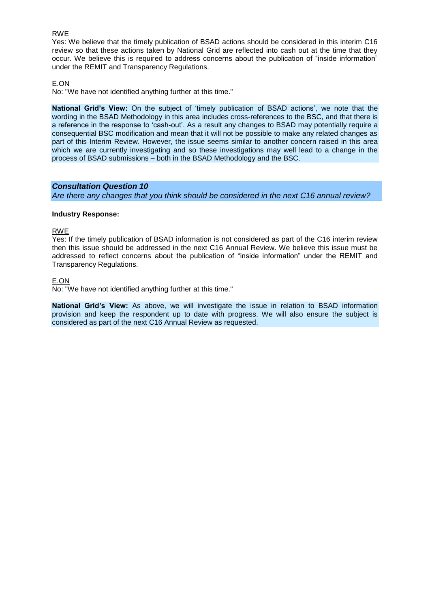#### RWE

Yes: We believe that the timely publication of BSAD actions should be considered in this interim C16 review so that these actions taken by National Grid are reflected into cash out at the time that they occur. We believe this is required to address concerns about the publication of "inside information" under the REMIT and Transparency Regulations.

#### E.ON

No: "We have not identified anything further at this time."

**National Grid's View:** On the subject of 'timely publication of BSAD actions', we note that the wording in the BSAD Methodology in this area includes cross-references to the BSC, and that there is a reference in the response to 'cash-out'. As a result any changes to BSAD may potentially require a consequential BSC modification and mean that it will not be possible to make any related changes as part of this Interim Review. However, the issue seems similar to another concern raised in this area which we are currently investigating and so these investigations may well lead to a change in the process of BSAD submissions – both in the BSAD Methodology and the BSC.

#### *Consultation Question 10*

*Are there any changes that you think should be considered in the next C16 annual review?*

#### **Industry Response:**

#### RWE

Yes: If the timely publication of BSAD information is not considered as part of the C16 interim review then this issue should be addressed in the next C16 Annual Review. We believe this issue must be addressed to reflect concerns about the publication of "inside information" under the REMIT and Transparency Regulations.

#### E.ON

No: "We have not identified anything further at this time."

**National Grid's View:** As above, we will investigate the issue in relation to BSAD information provision and keep the respondent up to date with progress. We will also ensure the subject is considered as part of the next C16 Annual Review as requested.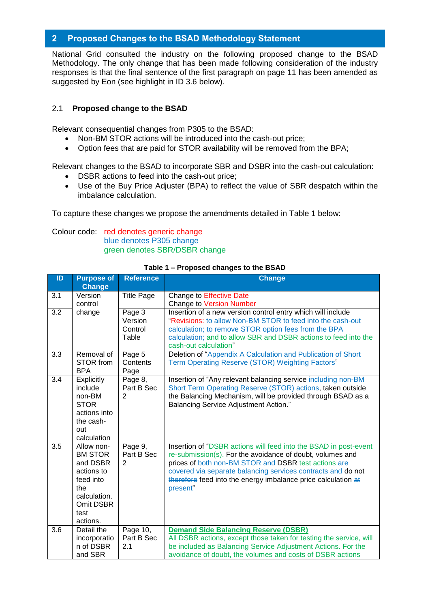# <span id="page-11-0"></span>**2 Proposed Changes to the BSAD Methodology Statement**

National Grid consulted the industry on the following proposed change to the BSAD Methodology. The only change that has been made following consideration of the industry responses is that the final sentence of the first paragraph on page 11 has been amended as suggested by Eon (see highlight in ID 3.6 below).

# 2.1 **Proposed change to the BSAD**

Relevant consequential changes from P305 to the BSAD:

- Non-BM STOR actions will be introduced into the cash-out price;
- Option fees that are paid for STOR availability will be removed from the BPA;

Relevant changes to the BSAD to incorporate SBR and DSBR into the cash-out calculation:

- DSBR actions to feed into the cash-out price;
- Use of the Buy Price Adjuster (BPA) to reflect the value of SBR despatch within the imbalance calculation.

To capture these changes we propose the amendments detailed in Table 1 below:

# Colour code: red denotes generic change blue denotes P305 change green denotes SBR/DSBR change

| ID  | <b>Purpose of</b><br><b>Change</b>                                                                                          | <b>Reference</b>                        | <b>Change</b>                                                                                                                                                                                                                                                                                                                      |
|-----|-----------------------------------------------------------------------------------------------------------------------------|-----------------------------------------|------------------------------------------------------------------------------------------------------------------------------------------------------------------------------------------------------------------------------------------------------------------------------------------------------------------------------------|
| 3.1 | Version<br>control                                                                                                          | <b>Title Page</b>                       | <b>Change to Effective Date</b><br><b>Change to Version Number</b>                                                                                                                                                                                                                                                                 |
| 3.2 | change                                                                                                                      | Page 3<br>Version<br>Control<br>Table   | Insertion of a new version control entry which will include<br>"Revisions: to allow Non-BM STOR to feed into the cash-out<br>calculation; to remove STOR option fees from the BPA<br>calculation; and to allow SBR and DSBR actions to feed into the<br>cash-out calculation"                                                      |
| 3.3 | Removal of<br>STOR from<br><b>BPA</b>                                                                                       | Page 5<br>Contents<br>Page              | Deletion of "Appendix A Calculation and Publication of Short<br>Term Operating Reserve (STOR) Weighting Factors"                                                                                                                                                                                                                   |
| 3.4 | Explicitly<br>include<br>non-BM<br><b>STOR</b><br>actions into<br>the cash-<br>out<br>calculation                           | Page 8,<br>Part B Sec<br>$\overline{2}$ | Insertion of "Any relevant balancing service including non-BM<br>Short Term Operating Reserve (STOR) actions, taken outside<br>the Balancing Mechanism, will be provided through BSAD as a<br><b>Balancing Service Adjustment Action."</b>                                                                                         |
| 3.5 | Allow non-<br><b>BM STOR</b><br>and DSBR<br>actions to<br>feed into<br>the<br>calculation.<br>Omit DSBR<br>test<br>actions. | Page 9,<br>Part B Sec<br>2              | Insertion of "DSBR actions will feed into the BSAD in post-event<br>re-submission(s). For the avoidance of doubt, volumes and<br>prices of both non-BM STOR and DSBR test actions are<br>covered via separate balancing services contracts and do not<br>therefore feed into the energy imbalance price calculation at<br>present" |
| 3.6 | Detail the<br>incorporatio<br>n of DSBR<br>and SBR                                                                          | Page 10,<br>Part B Sec<br>2.1           | <b>Demand Side Balancing Reserve (DSBR)</b><br>All DSBR actions, except those taken for testing the service, will<br>be included as Balancing Service Adjustment Actions. For the<br>avoidance of doubt, the volumes and costs of DSBR actions                                                                                     |

#### **Table 1 – Proposed changes to the BSAD**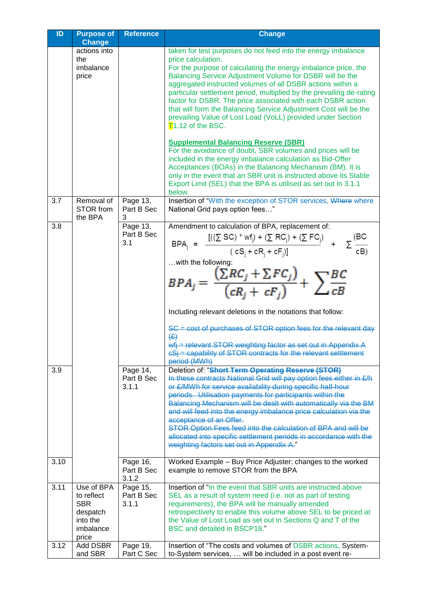| $\overline{1}$ | <b>Purpose of</b><br><b>Change</b>                                                   | <b>Reference</b>                | <b>Change</b>                                                                                                                                                                                                                                                                                                                                                                                                                                                                                                                                                                                              |
|----------------|--------------------------------------------------------------------------------------|---------------------------------|------------------------------------------------------------------------------------------------------------------------------------------------------------------------------------------------------------------------------------------------------------------------------------------------------------------------------------------------------------------------------------------------------------------------------------------------------------------------------------------------------------------------------------------------------------------------------------------------------------|
|                | actions into                                                                         |                                 | taken for test purposes do not feed into the energy imbalance                                                                                                                                                                                                                                                                                                                                                                                                                                                                                                                                              |
|                | the<br>imbalance<br>price                                                            |                                 | price calculation.<br>For the purpose of calculating the energy imbalance price, the<br>Balancing Service Adjustment Volume for DSBR will be the<br>aggregated instructed volumes of all DSBR actions within a<br>particular settlement period, multiplied by the prevailing de-rating<br>factor for DSBR. The price associated with each DSBR action<br>that will form the Balancing Service Adjustment Cost will be the<br>prevailing Value of Lost Load (VoLL) provided under Section<br>$T$ 1.12 of the BSC.                                                                                           |
|                |                                                                                      |                                 | <b>Supplemental Balancing Reserve (SBR)</b><br>For the avoidance of doubt, SBR volumes and prices will be<br>included in the energy imbalance calculation as Bid-Offer<br>Acceptances (BOAs) in the Balancing Mechanism (BM). It is<br>only in the event that an SBR unit is instructed above its Stable<br>Export Limit (SEL) that the BPA is utilised as set out in 3.1.1<br>below.                                                                                                                                                                                                                      |
| 3.7            | Removal of<br>STOR from<br>the BPA                                                   | Page 13,<br>Part B Sec<br>3     | Insertion of "With the exception of STOR services, Where where<br>National Grid pays option fees"                                                                                                                                                                                                                                                                                                                                                                                                                                                                                                          |
| 3.8            |                                                                                      | Page 13,<br>Part B Sec<br>3.1   | Amendment to calculation of BPA, replacement of:<br>BPA <sub>j</sub> = $\frac{[((\sum SC)^* wf_j) + (\sum RC_j) + (\sum FC_j) + (\sum (BC)^* (C_S) + cR_j + cF_j)]}{(cS_j + cR_j + cF_j)]}$ + $\sum_{c \in B}$<br>with the following:<br>$BPA_j = \frac{(\sum RC_j + \sum FC_j)}{(cR_i + cF_j)} + \sum \frac{BC}{cB}$                                                                                                                                                                                                                                                                                      |
|                |                                                                                      |                                 | Including relevant deletions in the notations that follow:<br>SC = cost of purchases of STOR option fees for the relevant day<br>(E)<br>wfj = relevant STOR weighting factor as set out in Appendix A<br>eSj = capability of STOR contracts for the relevant settlement<br>period (MWh)                                                                                                                                                                                                                                                                                                                    |
| 3.9            |                                                                                      | Page 14,<br>Part B Sec<br>3.1.1 | Deletion of: "Short Term Operating Reserve (STOR)<br>In these contracts National Grid will pay option fees either in £/h<br>or £/MWh for service availability during specific half-hour<br>periods. Utilisation payments for participants within the<br>Balancing Mechanism will be dealt with automatically via the BM<br>and will feed into the energy imbalance price calculation via the<br>acceptance of an Offer.<br>STOR Option Fees feed into the calculation of BPA and will be<br>allocated into specific settlement periods in accordance with the<br>weighting factors set out in Appendix A." |
| 3.10           |                                                                                      | Page 16,<br>Part B Sec<br>3.1.2 | Worked Example - Buy Price Adjuster: changes to the worked<br>example to remove STOR from the BPA                                                                                                                                                                                                                                                                                                                                                                                                                                                                                                          |
| 3.11           | Use of BPA<br>to reflect<br><b>SBR</b><br>despatch<br>into the<br>imbalance<br>price | Page 15,<br>Part B Sec<br>3.1.1 | Insertion of "In the event that SBR units are instructed above<br>SEL as a result of system need (i.e. not as part of testing<br>requirements), the BPA will be manually amended<br>retrospectively to enable this volume above SEL to be priced at<br>the Value of Lost Load as set out in Sections Q and T of the<br><b>BSC and detailed in BSCP18."</b>                                                                                                                                                                                                                                                 |
| 3.12           | Add DSBR<br>and SBR                                                                  | Page 19,<br>Part C Sec          | Insertion of "The costs and volumes of DSBR actions, System-<br>to-System services,  will be included in a post event re-                                                                                                                                                                                                                                                                                                                                                                                                                                                                                  |
|                |                                                                                      |                                 |                                                                                                                                                                                                                                                                                                                                                                                                                                                                                                                                                                                                            |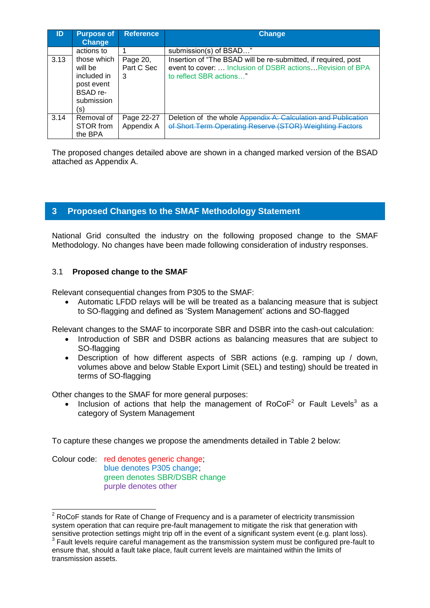| ID   | <b>Purpose of</b><br><b>Change</b>                                                   | <b>Reference</b>            | <b>Change</b>                                                                                                                                           |
|------|--------------------------------------------------------------------------------------|-----------------------------|---------------------------------------------------------------------------------------------------------------------------------------------------------|
|      | actions to                                                                           |                             | submission(s) of BSAD"                                                                                                                                  |
| 3.13 | those which<br>will be<br>included in<br>post event<br>BSAD re-<br>submission<br>(S) | Page 20,<br>Part C Sec<br>3 | Insertion of "The BSAD will be re-submitted, if required, post<br>event to cover:  Inclusion of DSBR actions Revision of BPA<br>to reflect SBR actions" |
| 3.14 | Removal of<br>STOR from<br>the BPA                                                   | Page 22-27<br>Appendix A    | Deletion of the whole Appendix A: Calculation and Publication<br>of Short Term Operating Reserve (STOR) Weighting Factors                               |

The proposed changes detailed above are shown in a changed marked version of the BSAD attached as Appendix A.

# <span id="page-13-0"></span>**3 Proposed Changes to the SMAF Methodology Statement**

National Grid consulted the industry on the following proposed change to the SMAF Methodology. No changes have been made following consideration of industry responses.

# 3.1 **Proposed change to the SMAF**

Relevant consequential changes from P305 to the SMAF:

 Automatic LFDD relays will be will be treated as a balancing measure that is subject to SO-flagging and defined as 'System Management' actions and SO-flagged

Relevant changes to the SMAF to incorporate SBR and DSBR into the cash-out calculation:

- Introduction of SBR and DSBR actions as balancing measures that are subject to SO-flagging
- Description of how different aspects of SBR actions (e.g. ramping up / down, volumes above and below Stable Export Limit (SEL) and testing) should be treated in terms of SO-flagging

Other changes to the SMAF for more general purposes:

• Inclusion of actions that help the management of  $RoCoF<sup>2</sup>$  or Fault Levels<sup>3</sup> as a category of System Management

To capture these changes we propose the amendments detailed in Table 2 below:

Colour code: red denotes generic change; blue denotes P305 change; green denotes SBR/DSBR change purple denotes other

-

 $2$  RoCoF stands for Rate of Change of Frequency and is a parameter of electricity transmission system operation that can require pre-fault management to mitigate the risk that generation with sensitive protection settings might trip off in the event of a significant system event (e.g. plant loss). <sup>3</sup> Fault levels require careful management as the transmission system must be configured pre-fault to ensure that, should a fault take place, fault current levels are maintained within the limits of transmission assets.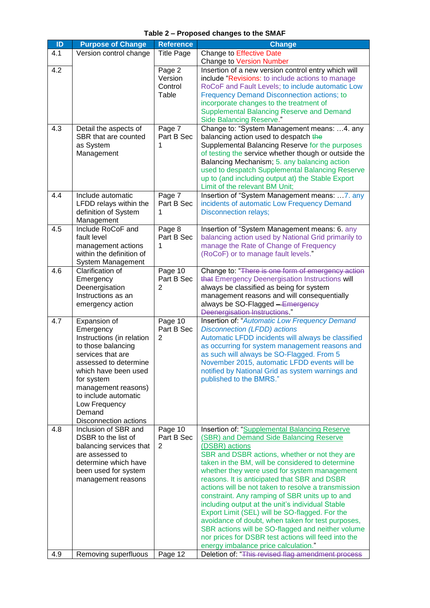| ID  | <b>Purpose of Change</b>                                                                                                                                                                                                                                            | <b>Reference</b>                      | <b>Change</b>                                                                                                                                                                                                                                                                                                                                                                                                                                                                                                                                                                                                                                                                                                                           |
|-----|---------------------------------------------------------------------------------------------------------------------------------------------------------------------------------------------------------------------------------------------------------------------|---------------------------------------|-----------------------------------------------------------------------------------------------------------------------------------------------------------------------------------------------------------------------------------------------------------------------------------------------------------------------------------------------------------------------------------------------------------------------------------------------------------------------------------------------------------------------------------------------------------------------------------------------------------------------------------------------------------------------------------------------------------------------------------------|
| 4.1 | Version control change                                                                                                                                                                                                                                              | <b>Title Page</b>                     | <b>Change to Effective Date</b>                                                                                                                                                                                                                                                                                                                                                                                                                                                                                                                                                                                                                                                                                                         |
|     |                                                                                                                                                                                                                                                                     |                                       | <b>Change to Version Number</b>                                                                                                                                                                                                                                                                                                                                                                                                                                                                                                                                                                                                                                                                                                         |
| 4.2 |                                                                                                                                                                                                                                                                     | Page 2<br>Version<br>Control<br>Table | Insertion of a new version control entry which will<br>include "Revisions: to include actions to manage<br>RoCoF and Fault Levels; to include automatic Low<br><b>Frequency Demand Disconnection actions; to</b><br>incorporate changes to the treatment of<br><b>Supplemental Balancing Reserve and Demand</b><br><b>Side Balancing Reserve."</b>                                                                                                                                                                                                                                                                                                                                                                                      |
| 4.3 | Detail the aspects of<br>SBR that are counted<br>as System<br>Management                                                                                                                                                                                            | Page 7<br>Part B Sec<br>1             | Change to: "System Management means: 4. any<br>balancing action used to despatch the<br>Supplemental Balancing Reserve for the purposes<br>of testing the service whether though or outside the<br>Balancing Mechanism; 5. any balancing action<br>used to despatch Supplemental Balancing Reserve<br>up to (and including output at) the Stable Export<br>Limit of the relevant BM Unit;                                                                                                                                                                                                                                                                                                                                               |
| 4.4 | Include automatic<br>LFDD relays within the<br>definition of System<br>Management                                                                                                                                                                                   | Page 7<br>Part B Sec<br>1             | Insertion of "System Management means:  7. any<br>incidents of automatic Low Frequency Demand<br><b>Disconnection relays;</b>                                                                                                                                                                                                                                                                                                                                                                                                                                                                                                                                                                                                           |
| 4.5 | Include RoCoF and<br>fault level<br>management actions<br>within the definition of<br>System Management                                                                                                                                                             | Page 8<br>Part B Sec<br>1             | Insertion of "System Management means: 6. any<br>balancing action used by National Grid primarily to<br>manage the Rate of Change of Frequency<br>(RoCoF) or to manage fault levels."                                                                                                                                                                                                                                                                                                                                                                                                                                                                                                                                                   |
| 4.6 | Clarification of<br>Emergency<br>Deenergisation<br>Instructions as an<br>emergency action                                                                                                                                                                           | Page 10<br>Part B Sec<br>2            | Change to: "There is one form of emergency action<br>that Emergency Deenergisation Instructions will<br>always be classified as being for system<br>management reasons and will consequentially<br>always be SO-Flagged - Emergency<br>Deenergisation Instructions"                                                                                                                                                                                                                                                                                                                                                                                                                                                                     |
| 4.7 | Expansion of<br>Emergency<br>Instructions (in relation<br>to those balancing<br>services that are<br>assessed to determine<br>which have been used<br>for system<br>management reasons)<br>to include automatic<br>Low Frequency<br>Demand<br>Disconnection actions | Page $10$<br>Part B Sec<br>2          | <b>Insertion of: "Automatic Low Frequency Demand</b><br><b>Disconnection (LFDD) actions</b><br>Automatic LFDD incidents will always be classified<br>as occurring for system management reasons and<br>as such will always be SO-Flagged. From 5<br>November 2015, automatic LFDD events will be<br>notified by National Grid as system warnings and<br>published to the BMRS."                                                                                                                                                                                                                                                                                                                                                         |
| 4.8 | Inclusion of SBR and<br>DSBR to the list of<br>balancing services that<br>are assessed to<br>determine which have<br>been used for system<br>management reasons                                                                                                     | Page 10<br>Part B Sec<br>2            | Insertion of: "Supplemental Balancing Reserve<br>(SBR) and Demand Side Balancing Reserve<br>(DSBR) actions<br>SBR and DSBR actions, whether or not they are<br>taken in the BM, will be considered to determine<br>whether they were used for system management<br>reasons. It is anticipated that SBR and DSBR<br>actions will be not taken to resolve a transmission<br>constraint. Any ramping of SBR units up to and<br>including output at the unit's individual Stable<br>Export Limit (SEL) will be SO-flagged. For the<br>avoidance of doubt, when taken for test purposes,<br>SBR actions will be SO-flagged and neither volume<br>nor prices for DSBR test actions will feed into the<br>energy imbalance price calculation." |
| 4.9 | Removing superfluous                                                                                                                                                                                                                                                | Page 12                               | Deletion of: "This revised flag amendment process                                                                                                                                                                                                                                                                                                                                                                                                                                                                                                                                                                                                                                                                                       |

**Table 2 – Proposed changes to the SMAF**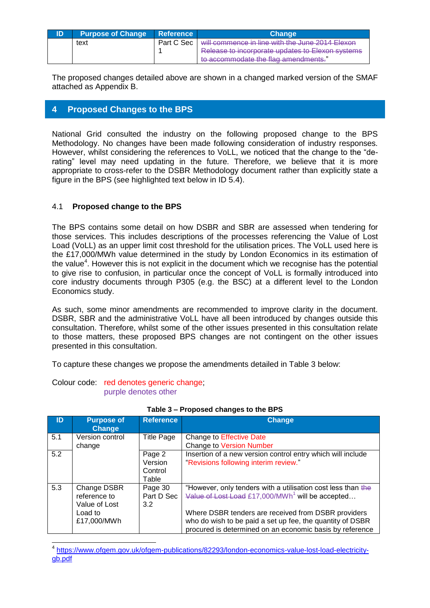| ID | <b>Purpose of Change</b> | <b>Reference</b> | Chanɑe                                           |
|----|--------------------------|------------------|--------------------------------------------------|
|    | text                     | Part C Sec       | will commence in line with the June 2014 Elexon  |
|    |                          |                  | Release to incorporate updates to Elexon systems |
|    |                          |                  | to accommodate the flag amendments."             |

The proposed changes detailed above are shown in a changed marked version of the SMAF attached as Appendix B.

# <span id="page-15-0"></span>**4 Proposed Changes to the BPS**

National Grid consulted the industry on the following proposed change to the BPS Methodology. No changes have been made following consideration of industry responses. However, whilst considering the references to VoLL, we noticed that the change to the "derating" level may need updating in the future. Therefore, we believe that it is more appropriate to cross-refer to the DSBR Methodology document rather than explicitly state a figure in the BPS (see highlighted text below in ID 5.4).

# 4.1 **Proposed change to the BPS**

The BPS contains some detail on how DSBR and SBR are assessed when tendering for those services. This includes descriptions of the processes referencing the Value of Lost Load (VoLL) as an upper limit cost threshold for the utilisation prices. The VoLL used here is the £17,000/MWh value determined in the study by London Economics in its estimation of the value<sup>4</sup>. However this is not explicit in the document which we recognise has the potential to give rise to confusion, in particular once the concept of VoLL is formally introduced into core industry documents through P305 (e.g. the BSC) at a different level to the London Economics study.

As such, some minor amendments are recommended to improve clarity in the document. DSBR, SBR and the administrative VoLL have all been introduced by changes outside this consultation. Therefore, whilst some of the other issues presented in this consultation relate to those matters, these proposed BPS changes are not contingent on the other issues presented in this consultation.

To capture these changes we propose the amendments detailed in Table 3 below:

Colour code: red denotes generic change; purple denotes other

 $\overline{\phantom{a}}$ 

| ID  | <b>Purpose of</b><br><b>Change</b> | <b>Reference</b>  | <b>Change</b>                                                |
|-----|------------------------------------|-------------------|--------------------------------------------------------------|
| 5.1 | Version control                    | <b>Title Page</b> | <b>Change to Effective Date</b>                              |
|     | change                             |                   | <b>Change to Version Number</b>                              |
| 5.2 |                                    | Page 2            | Insertion of a new version control entry which will include  |
|     |                                    | Version           | "Revisions following interim review."                        |
|     |                                    | Control           |                                                              |
|     |                                    | Table             |                                                              |
| 5.3 | Change DSBR                        | Page 30           | "However, only tenders with a utilisation cost less than the |
|     | reference to                       | Part D Sec        | Value of Lost Load £17,000/MWh <sup>1</sup> will be accepted |
|     | Value of Lost                      | 3.2               |                                                              |
|     | Load to                            |                   | Where DSBR tenders are received from DSBR providers          |
|     | £17,000/MWh                        |                   | who do wish to be paid a set up fee, the quantity of DSBR    |
|     |                                    |                   | procured is determined on an economic basis by reference     |

4 [https://www.ofgem.gov.uk/ofgem-publications/82293/london-economics-value-lost-load-electricity](https://www.ofgem.gov.uk/ofgem-publications/82293/london-economics-value-lost-load-electricity-gb.pdf)[gb.pdf](https://www.ofgem.gov.uk/ofgem-publications/82293/london-economics-value-lost-load-electricity-gb.pdf)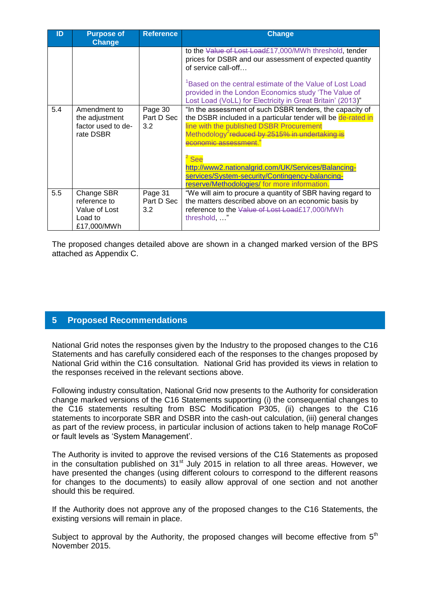| ID  | <b>Purpose of</b><br><b>Change</b>                                    | <b>Reference</b>             | <b>Change</b>                                                                                                                                                                                                                                                                                                                                                                                                                           |
|-----|-----------------------------------------------------------------------|------------------------------|-----------------------------------------------------------------------------------------------------------------------------------------------------------------------------------------------------------------------------------------------------------------------------------------------------------------------------------------------------------------------------------------------------------------------------------------|
|     |                                                                       |                              | to the Value of Lost Load£17,000/MWh threshold, tender<br>prices for DSBR and our assessment of expected quantity<br>of service call-off<br><sup>1</sup> Based on the central estimate of the Value of Lost Load<br>provided in the London Economics study 'The Value of                                                                                                                                                                |
|     |                                                                       |                              | Lost Load (VoLL) for Electricity in Great Britain' (2013)"                                                                                                                                                                                                                                                                                                                                                                              |
| 5.4 | Amendment to<br>the adjustment<br>factor used to de-<br>rate DSBR     | Page 30<br>Part D Sec<br>3.2 | "In the assessment of such DSBR tenders, the capacity of<br>the DSBR included in a particular tender will be de-rated in<br>line with the published DSBR Procurement<br>Methodology <sup>2</sup> reduced by 2515% in undertaking is<br>conomic assessment<br><sup>2</sup> See<br>http://www2.nationalgrid.com/UK/Services/Balancing-<br>services/System-security/Contingency-balancing-<br>reserve/Methodologies/ for more information. |
| 5.5 | Change SBR<br>reference to<br>Value of Lost<br>Load to<br>£17,000/MWh | Page 31<br>Part D Sec<br>3.2 | "We will aim to procure a quantity of SBR having regard to<br>the matters described above on an economic basis by<br>reference to the Value of Lost Load£17,000/MWh<br>threshold, "                                                                                                                                                                                                                                                     |

The proposed changes detailed above are shown in a changed marked version of the BPS attached as Appendix C.

# <span id="page-16-0"></span>**5 Proposed Recommendations**

National Grid notes the responses given by the Industry to the proposed changes to the C16 Statements and has carefully considered each of the responses to the changes proposed by National Grid within the C16 consultation. National Grid has provided its views in relation to the responses received in the relevant sections above.

Following industry consultation, National Grid now presents to the Authority for consideration change marked versions of the C16 Statements supporting (i) the consequential changes to the C16 statements resulting from BSC Modification P305, (ii) changes to the C16 statements to incorporate SBR and DSBR into the cash-out calculation, (iii) general changes as part of the review process, in particular inclusion of actions taken to help manage RoCoF or fault levels as 'System Management'.

The Authority is invited to approve the revised versions of the C16 Statements as proposed in the consultation published on  $31<sup>st</sup>$  July 2015 in relation to all three areas. However, we have presented the changes (using different colours to correspond to the different reasons for changes to the documents) to easily allow approval of one section and not another should this be required.

If the Authority does not approve any of the proposed changes to the C16 Statements, the existing versions will remain in place.

Subject to approval by the Authority, the proposed changes will become effective from  $5<sup>th</sup>$ November 2015.